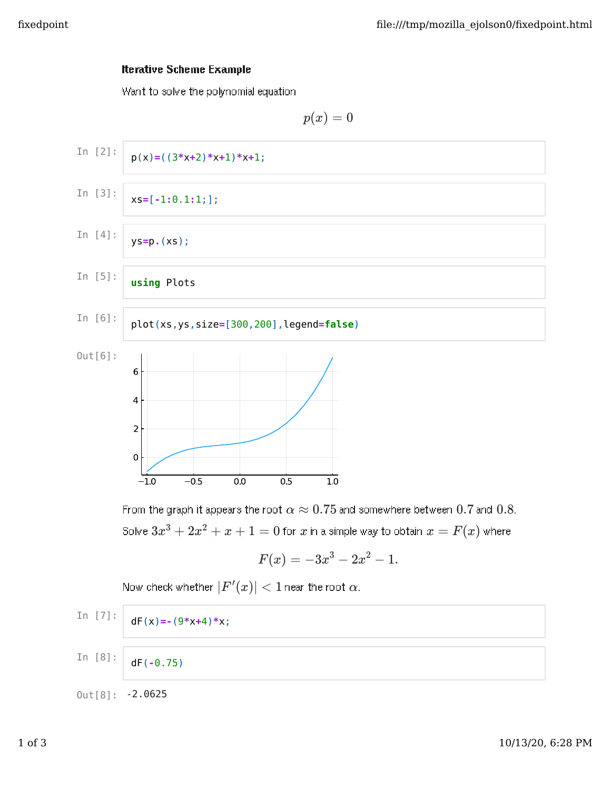## Iterative Scheme Example

Want to solve the polynomial equation



From the graph it appears the root  $\alpha \approx 0.75$  and somewhere between  $0.7$  and  $0.8.$ Solve  $3x^3 + 2x^2 + x + 1 = 0$  for  $x$  in a simple way to obtain  $x = F(x)$  where

$$
F(x) = -3x^3 - 2x^2 - 1.
$$

 $\textsf{Now check whether } |F'(x)| < 1$   $\textsf{near the root } \alpha.$ 

In [7]: 
$$
dF(x) = -(9*x+4)*x;
$$

In  $[8]$ : dF(**-**0.75)

 $0$ ut $[8]$ : -2.0625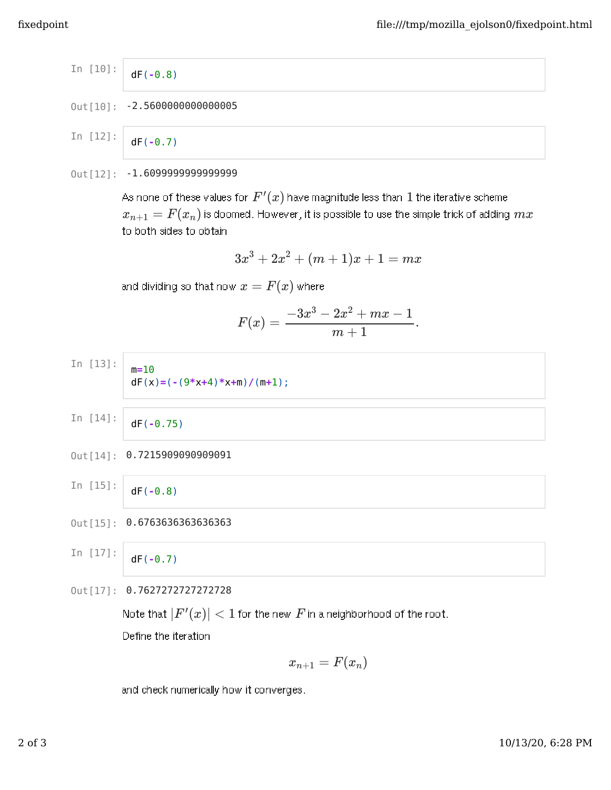In [10]: 
$$
dF(-0.8)
$$
  
Out[10]: -2.5600000000000005

In  $[12]$ : dF(**-**0.7)

## 0ut[12]: -1.609999999999999

As none of these values for  $F^{\prime}(x)$  have magnitude less than  $1$  the iterative scheme  $x_{n+1} = F(x_n)$  is doomed. However, it is possible to use the simple trick of adding  $mx$ to both sides to obtain

$$
3x^3 + 2x^2 + (m+1)x + 1 = mx
$$

and dividing so that now  $x=F(x)$  where

$$
F(x) = \frac{-3x^3 - 2x^2 + mx - 1}{m + 1}.
$$

- In  $[13]$ : m**=**10 dF(x)**=**(**-**(9**\***x**+**4)**\***x**+**m)**/**(m**+**1);
- In  $[14]$ : dF(**-**0.75)
- 0ut[14]: 0.7215909090909091
- In  $[15]$ : dF(**-**0.8)
- 0ut<sup>[15]</sup>: 0.6763636363636363

In [17]: 
$$
dF(-0.7)
$$

```
0ut [17]: 0.7627272727272728
```
Note that  $|F'(x)| < 1$  for the new  $F$  in a neighborhood of the root.

Define the iteration

$$
x_{n+1}=F(x_n) \\
$$

and check numerically how it converges.